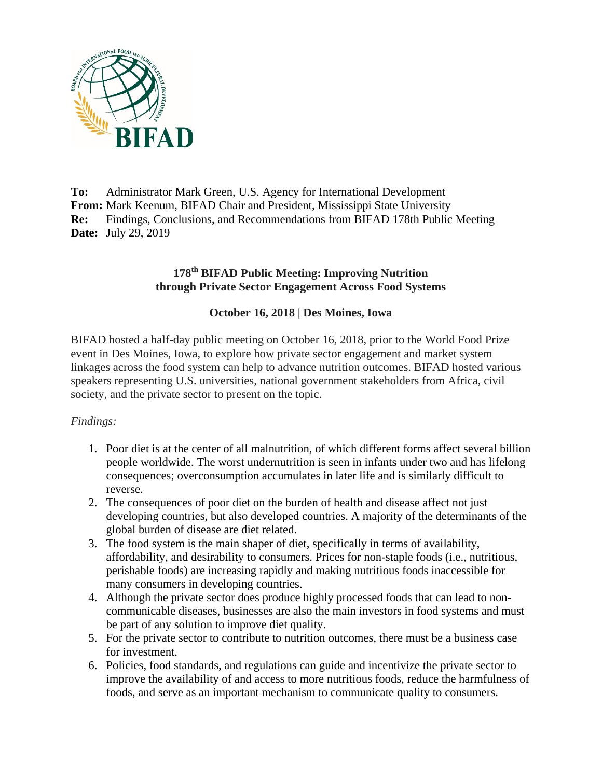

**To:** Administrator Mark Green, U.S. Agency for International Development **From:** Mark Keenum, BIFAD Chair and President, Mississippi State University **Re:** Findings, Conclusions, and Recommendations from BIFAD 178th Public Meeting **Date:** July 29, 2019

## **178th BIFAD Public Meeting: Improving Nutrition through Private Sector Engagement Across Food Systems**

## **October 16, 2018 | Des Moines, Iowa**

BIFAD hosted a half-day public meeting on October 16, 2018, prior to the World Food Prize event in Des Moines, Iowa, to explore how private sector engagement and market system linkages across the food system can help to advance nutrition outcomes. BIFAD hosted various speakers representing U.S. universities, national government stakeholders from Africa, civil society, and the private sector to present on the topic.

#### *Findings:*

- 1. Poor diet is at the center of all malnutrition, of which different forms affect several billion people worldwide. The worst undernutrition is seen in infants under two and has lifelong consequences; overconsumption accumulates in later life and is similarly difficult to reverse.
- 2. The consequences of poor diet on the burden of health and disease affect not just developing countries, but also developed countries. A majority of the determinants of the global burden of disease are diet related.
- 3. The food system is the main shaper of diet, specifically in terms of availability, affordability, and desirability to consumers. Prices for non-staple foods (i.e., nutritious, perishable foods) are increasing rapidly and making nutritious foods inaccessible for many consumers in developing countries.
- 4. Although the private sector does produce highly processed foods that can lead to noncommunicable diseases, businesses are also the main investors in food systems and must be part of any solution to improve diet quality.
- 5. For the private sector to contribute to nutrition outcomes, there must be a business case for investment.
- 6. Policies, food standards, and regulations can guide and incentivize the private sector to improve the availability of and access to more nutritious foods, reduce the harmfulness of foods, and serve as an important mechanism to communicate quality to consumers.